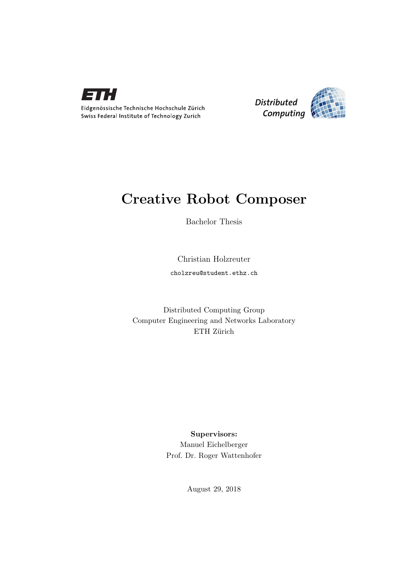



### Creative Robot Composer

Bachelor Thesis

Christian Holzreuter cholzreu@student.ethz.ch

Distributed Computing Group Computer Engineering and Networks Laboratory ETH Zürich

> Supervisors: Manuel Eichelberger Prof. Dr. Roger Wattenhofer

> > August 29, 2018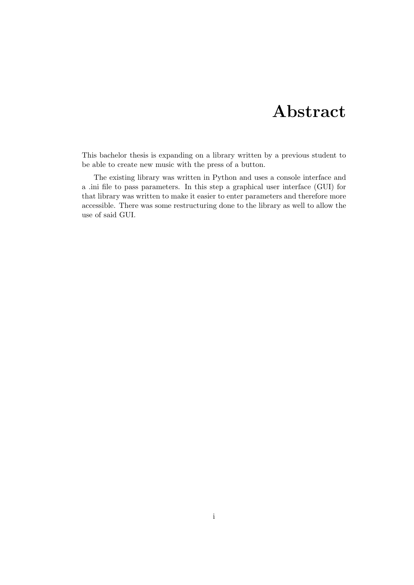# Abstract

<span id="page-1-0"></span>This bachelor thesis is expanding on a library written by a previous student to be able to create new music with the press of a button.

The existing library was written in Python and uses a console interface and a .ini file to pass parameters. In this step a graphical user interface (GUI) for that library was written to make it easier to enter parameters and therefore more accessible. There was some restructuring done to the library as well to allow the use of said GUI.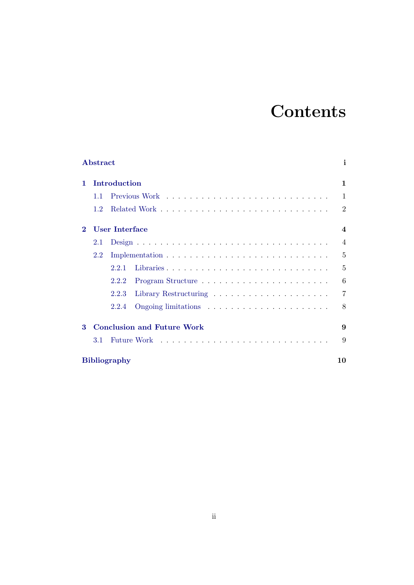# **Contents**

|                                               | Abstract            |              | i.             |  |  |  |  |
|-----------------------------------------------|---------------------|--------------|----------------|--|--|--|--|
| 1                                             |                     | Introduction | 1              |  |  |  |  |
|                                               | 1.1                 |              | 1              |  |  |  |  |
|                                               | 1.2                 |              | $\overline{2}$ |  |  |  |  |
| $\bf{2}$                                      | User Interface      |              |                |  |  |  |  |
|                                               | 2.1                 |              | $\overline{4}$ |  |  |  |  |
|                                               | 2.2                 |              | 5              |  |  |  |  |
|                                               |                     | 2.2.1        | 5              |  |  |  |  |
|                                               |                     | 2.2.2        | 6              |  |  |  |  |
|                                               |                     | 2.2.3        | 7              |  |  |  |  |
|                                               |                     | 2.2.4        | 8              |  |  |  |  |
| <b>Conclusion and Future Work</b><br>$\bf{3}$ |                     |              |                |  |  |  |  |
|                                               | 3.1                 |              | 9              |  |  |  |  |
|                                               | <b>Bibliography</b> |              |                |  |  |  |  |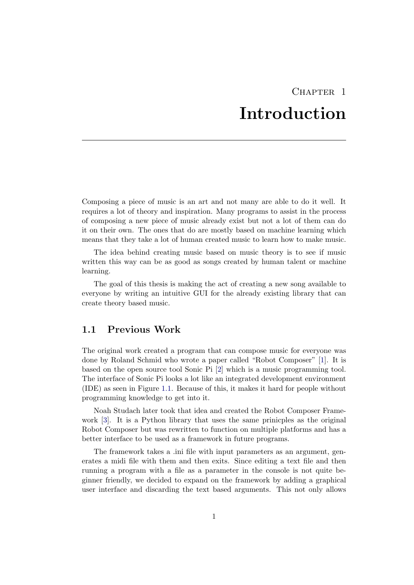# CHAPTER<sub>1</sub> Introduction

<span id="page-3-0"></span>Composing a piece of music is an art and not many are able to do it well. It requires a lot of theory and inspiration. Many programs to assist in the process of composing a new piece of music already exist but not a lot of them can do it on their own. The ones that do are mostly based on machine learning which means that they take a lot of human created music to learn how to make music.

The idea behind creating music based on music theory is to see if music written this way can be as good as songs created by human talent or machine learning.

The goal of this thesis is making the act of creating a new song available to everyone by writing an intuitive GUI for the already existing library that can create theory based music.

### <span id="page-3-1"></span>1.1 Previous Work

The original work created a program that can compose music for everyone was done by Roland Schmid who wrote a paper called "Robot Composer" [\[1\]](#page-12-1). It is based on the open source tool Sonic Pi [\[2\]](#page-12-2) which is a music programming tool. The interface of Sonic Pi looks a lot like an integrated development environment (IDE) as seen in Figure [1.1.](#page-4-1) Because of this, it makes it hard for people without programming knowledge to get into it.

Noah Studach later took that idea and created the Robot Composer Framework [\[3\]](#page-12-3). It is a Python library that uses the same prinicples as the original Robot Composer but was rewritten to function on multiple platforms and has a better interface to be used as a framework in future programs.

The framework takes a .ini file with input parameters as an argument, generates a midi file with them and then exits. Since editing a text file and then running a program with a file as a parameter in the console is not quite beginner friendly, we decided to expand on the framework by adding a graphical user interface and discarding the text based arguments. This not only allows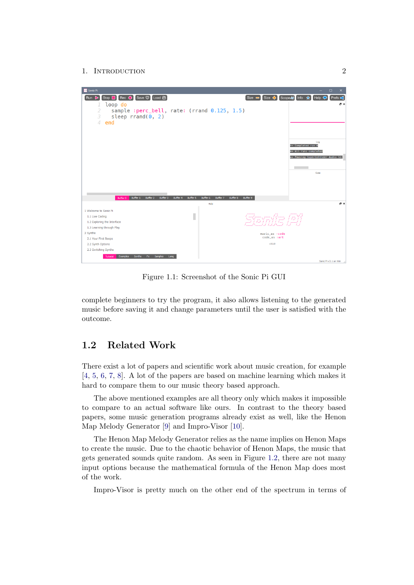#### 1. INTRODUCTION 2



<span id="page-4-1"></span>Figure 1.1: Screenshot of the Sonic Pi GUI

complete beginners to try the program, it also allows listening to the generated music before saving it and change parameters until the user is satisfied with the outcome.

### <span id="page-4-0"></span>1.2 Related Work

There exist a lot of papers and scientific work about music creation, for example [\[4,](#page-12-4) [5,](#page-12-5) [6,](#page-12-6) [7,](#page-12-7) [8\]](#page-12-8). A lot of the papers are based on machine learning which makes it hard to compare them to our music theory based approach.

The above mentioned examples are all theory only which makes it impossible to compare to an actual software like ours. In contrast to the theory based papers, some music generation programs already exist as well, like the Henon Map Melody Generator [\[9\]](#page-12-9) and Impro-Visor [\[10\]](#page-12-10).

The Henon Map Melody Generator relies as the name implies on Henon Maps to create the music. Due to the chaotic behavior of Henon Maps, the music that gets generated sounds quite random. As seen in Figure [1.2,](#page-5-0) there are not many input options because the mathematical formula of the Henon Map does most of the work.

Impro-Visor is pretty much on the other end of the spectrum in terms of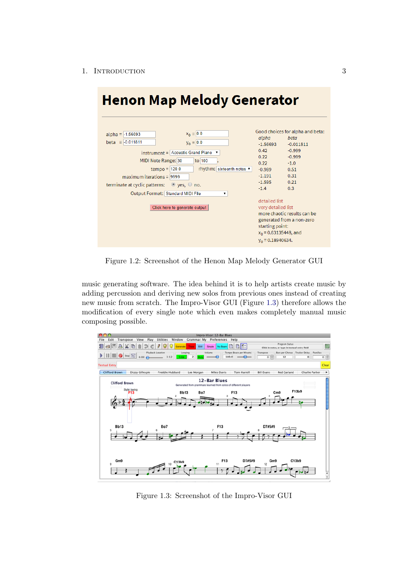#### 1. INTRODUCTION 3

| <b>Henon Map Melody Generator</b>                                                                                                   |                                                                                                                                                                                                                               |                                                                                                                                  |                                                                                                                                                         |  |  |  |  |  |
|-------------------------------------------------------------------------------------------------------------------------------------|-------------------------------------------------------------------------------------------------------------------------------------------------------------------------------------------------------------------------------|----------------------------------------------------------------------------------------------------------------------------------|---------------------------------------------------------------------------------------------------------------------------------------------------------|--|--|--|--|--|
| $alpha = -1.56693$<br>$beta = -0.011811$<br>$maximum$ iterations = 9999<br>terminate at cyclic patterns: $\bullet$ yes, $\circ$ no. | $x_0 = 0.0$<br>$y_0 = 0.0$<br>instrument = Acoustic Grand Piano ▼<br>to 100<br>MIDI Note Range: 30<br>$tempo = 120.0$<br>rhythm: sixteenth notes ▼<br>Output Format: Standard MIDI File<br>7<br>Click here to generate output | alpha<br>$-1.56693$<br>0.42<br>0.22<br>0.22<br>$-0.989$<br>$-1.191$<br>$-1.595$<br>$-1.4$<br>detailed list<br>very detailed list | Good choices for alpha and beta:<br>beta<br>$-0.011811$<br>$-0.999$<br>$-0.999$<br>$-1.0$<br>0.51<br>0.31<br>0.21<br>0.3<br>more chaotic results can be |  |  |  |  |  |
|                                                                                                                                     | generated from a non-zero<br>starting point:<br>$x_0$ = 0.63135448, and<br>$y_0 = 0.18940634.$                                                                                                                                |                                                                                                                                  |                                                                                                                                                         |  |  |  |  |  |

<span id="page-5-0"></span>Figure 1.2: Screenshot of the Henon Map Melody Generator GUI

music generating software. The idea behind it is to help artists create music by adding percussion and deriving new solos from previous ones instead of creating new music from scratch. The Impro-Visor GUI (Figure [1.3\)](#page-5-1) therefore allows the modification of every single note which even makes completely manual music composing possible.



<span id="page-5-1"></span>Figure 1.3: Screenshot of the Impro-Visor GUI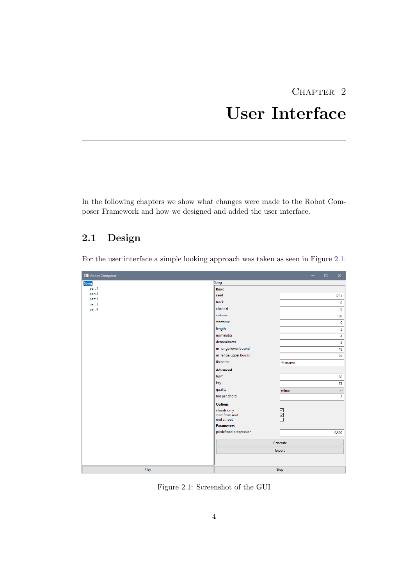# CHAPTER 2 User Interface

<span id="page-6-0"></span>In the following chapters we show what changes were made to the Robot Composer Framework and how we designed and added the user interface.

### <span id="page-6-1"></span>2.1 Design

For the user interface a simple looking approach was taken as seen in Figure [2.1.](#page-6-2)

| Robot Composer             |                                | $\times$<br>$\Box$    |  |
|----------------------------|--------------------------------|-----------------------|--|
| Song                       | Song                           |                       |  |
| $-$ part 1                 | <b>Basic</b>                   |                       |  |
| $-$ part 2<br>$-$ part $3$ | seed                           | 1231                  |  |
| $-$ part 2                 | track                          | $\pmb{0}$             |  |
| $-part 4$                  | channel                        | $\mathbf 0$           |  |
|                            | volume                         | 100                   |  |
|                            | starttime                      | $\pmb{0}$             |  |
|                            | length                         | 5                     |  |
|                            | nominator                      | 4                     |  |
|                            | denominator                    | 4                     |  |
|                            | m_range lower bound            | 48                    |  |
|                            | m_range upper bound            | 91                    |  |
|                            | filename                       | filename              |  |
|                            | <b>Advanced</b>                |                       |  |
|                            | bpm                            | 80                    |  |
|                            | key                            | 73                    |  |
|                            | quality                        | $\checkmark$<br>minor |  |
|                            | bar per chord                  | $\overline{2}$        |  |
|                            | <b>Options</b>                 |                       |  |
|                            | chords only                    |                       |  |
|                            | start from root<br>end at root | 50D                   |  |
|                            | <b>Parameters</b>              |                       |  |
|                            | predefined progression         | 0.500                 |  |
|                            |                                |                       |  |
|                            | Generate                       |                       |  |
|                            | Export                         |                       |  |
|                            |                                |                       |  |
|                            |                                |                       |  |
| Play                       |                                | Stop                  |  |

<span id="page-6-2"></span>Figure 2.1: Screenshot of the GUI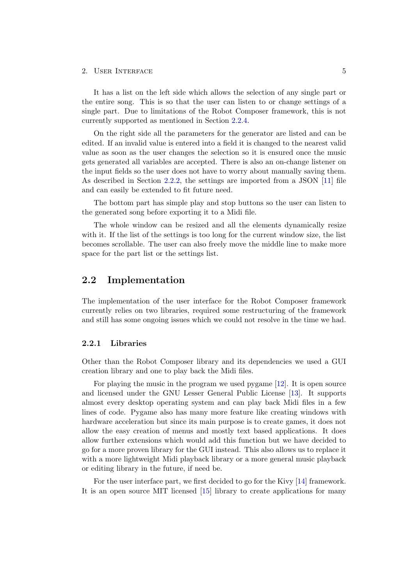#### 2. USER INTERFACE 5

It has a list on the left side which allows the selection of any single part or the entire song. This is so that the user can listen to or change settings of a single part. Due to limitations of the Robot Composer framework, this is not currently supported as mentioned in Section [2.2.4.](#page-10-0)

On the right side all the parameters for the generator are listed and can be edited. If an invalid value is entered into a field it is changed to the nearest valid value as soon as the user changes the selection so it is ensured once the music gets generated all variables are accepted. There is also an on-change listener on the input fields so the user does not have to worry about manually saving them. As described in Section [2.2.2,](#page-8-0) the settings are imported from a JSON [\[11\]](#page-12-11) file and can easily be extended to fit future need.

The bottom part has simple play and stop buttons so the user can listen to the generated song before exporting it to a Midi file.

The whole window can be resized and all the elements dynamically resize with it. If the list of the settings is too long for the current window size, the list becomes scrollable. The user can also freely move the middle line to make more space for the part list or the settings list.

### <span id="page-7-0"></span>2.2 Implementation

The implementation of the user interface for the Robot Composer framework currently relies on two libraries, required some restructuring of the framework and still has some ongoing issues which we could not resolve in the time we had.

#### <span id="page-7-1"></span>2.2.1 Libraries

Other than the Robot Composer library and its dependencies we used a GUI creation library and one to play back the Midi files.

For playing the music in the program we used pygame [\[12\]](#page-13-0). It is open source and licensed under the GNU Lesser General Public License [\[13\]](#page-13-1). It supports almost every desktop operating system and can play back Midi files in a few lines of code. Pygame also has many more feature like creating windows with hardware acceleration but since its main purpose is to create games, it does not allow the easy creation of menus and mostly text based applications. It does allow further extensions which would add this function but we have decided to go for a more proven library for the GUI instead. This also allows us to replace it with a more lightweight Midi playback library or a more general music playback or editing library in the future, if need be.

For the user interface part, we first decided to go for the Kivy [\[14\]](#page-13-2) framework. It is an open source MIT licensed [\[15\]](#page-13-3) library to create applications for many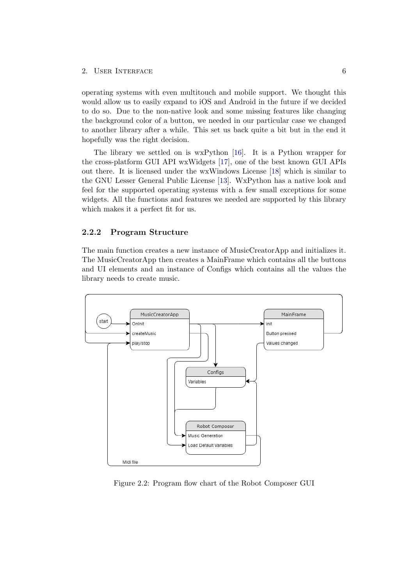#### 2. USER INTERFACE 6

operating systems with even multitouch and mobile support. We thought this would allow us to easily expand to iOS and Android in the future if we decided to do so. Due to the non-native look and some missing features like changing the background color of a button, we needed in our particular case we changed to another library after a while. This set us back quite a bit but in the end it hopefully was the right decision.

The library we settled on is wxPython [\[16\]](#page-13-4). It is a Python wrapper for the cross-platform GUI API wxWidgets [\[17\]](#page-13-5), one of the best known GUI APIs out there. It is licensed under the wxWindows License [\[18\]](#page-13-6) which is similar to the GNU Lesser General Public License [\[13\]](#page-13-1). WxPython has a native look and feel for the supported operating systems with a few small exceptions for some widgets. All the functions and features we needed are supported by this library which makes it a perfect fit for us.

#### <span id="page-8-0"></span>2.2.2 Program Structure

The main function creates a new instance of MusicCreatorApp and initializes it. The MusicCreatorApp then creates a MainFrame which contains all the buttons and UI elements and an instance of Configs which contains all the values the library needs to create music.



Figure 2.2: Program flow chart of the Robot Composer GUI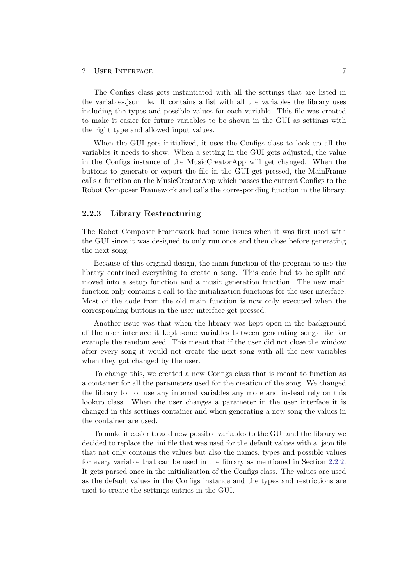#### 2. USER INTERFACE 7

The Configs class gets instantiated with all the settings that are listed in the variables.json file. It contains a list with all the variables the library uses including the types and possible values for each variable. This file was created to make it easier for future variables to be shown in the GUI as settings with the right type and allowed input values.

When the GUI gets initialized, it uses the Configs class to look up all the variables it needs to show. When a setting in the GUI gets adjusted, the value in the Configs instance of the MusicCreatorApp will get changed. When the buttons to generate or export the file in the GUI get pressed, the MainFrame calls a function on the MusicCreatorApp which passes the current Configs to the Robot Composer Framework and calls the corresponding function in the library.

#### <span id="page-9-0"></span>2.2.3 Library Restructuring

The Robot Composer Framework had some issues when it was first used with the GUI since it was designed to only run once and then close before generating the next song.

Because of this original design, the main function of the program to use the library contained everything to create a song. This code had to be split and moved into a setup function and a music generation function. The new main function only contains a call to the initialization functions for the user interface. Most of the code from the old main function is now only executed when the corresponding buttons in the user interface get pressed.

Another issue was that when the library was kept open in the background of the user interface it kept some variables between generating songs like for example the random seed. This meant that if the user did not close the window after every song it would not create the next song with all the new variables when they got changed by the user.

To change this, we created a new Configs class that is meant to function as a container for all the parameters used for the creation of the song. We changed the library to not use any internal variables any more and instead rely on this lookup class. When the user changes a parameter in the user interface it is changed in this settings container and when generating a new song the values in the container are used.

To make it easier to add new possible variables to the GUI and the library we decided to replace the .ini file that was used for the default values with a .json file that not only contains the values but also the names, types and possible values for every variable that can be used in the library as mentioned in Section [2.2.2.](#page-8-0) It gets parsed once in the initialization of the Configs class. The values are used as the default values in the Configs instance and the types and restrictions are used to create the settings entries in the GUI.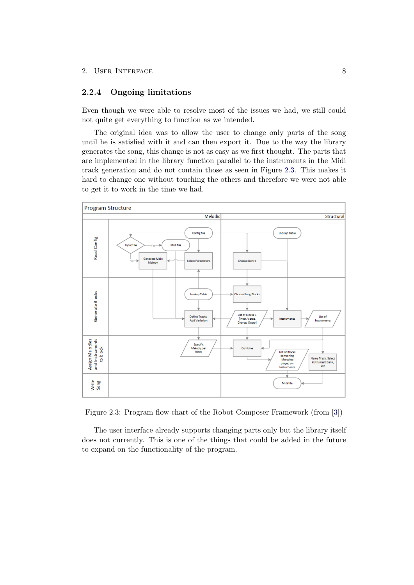#### <span id="page-10-0"></span>2.2.4 Ongoing limitations

Even though we were able to resolve most of the issues we had, we still could not quite get everything to function as we intended.

The original idea was to allow the user to change only parts of the song until he is satisfied with it and can then export it. Due to the way the library generates the song, this change is not as easy as we first thought. The parts that are implemented in the library function parallel to the instruments in the Midi track generation and do not contain those as seen in Figure [2.3.](#page-10-1) This makes it hard to change one without touching the others and therefore we were not able to get it to work in the time we had.



<span id="page-10-1"></span>Figure 2.3: Program flow chart of the Robot Composer Framework (from [\[3\]](#page-12-3))

The user interface already supports changing parts only but the library itself does not currently. This is one of the things that could be added in the future to expand on the functionality of the program.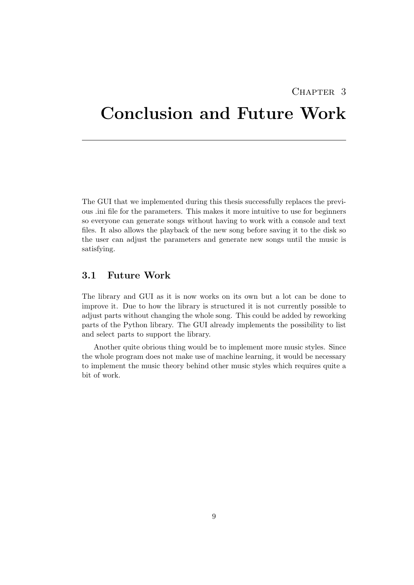### CHAPTER<sub>3</sub>

# <span id="page-11-0"></span>Conclusion and Future Work

The GUI that we implemented during this thesis successfully replaces the previous .ini file for the parameters. This makes it more intuitive to use for beginners so everyone can generate songs without having to work with a console and text files. It also allows the playback of the new song before saving it to the disk so the user can adjust the parameters and generate new songs until the music is satisfying.

### <span id="page-11-1"></span>3.1 Future Work

The library and GUI as it is now works on its own but a lot can be done to improve it. Due to how the library is structured it is not currently possible to adjust parts without changing the whole song. This could be added by reworking parts of the Python library. The GUI already implements the possibility to list and select parts to support the library.

Another quite obrious thing would be to implement more music styles. Since the whole program does not make use of machine learning, it would be necessary to implement the music theory behind other music styles which requires quite a bit of work.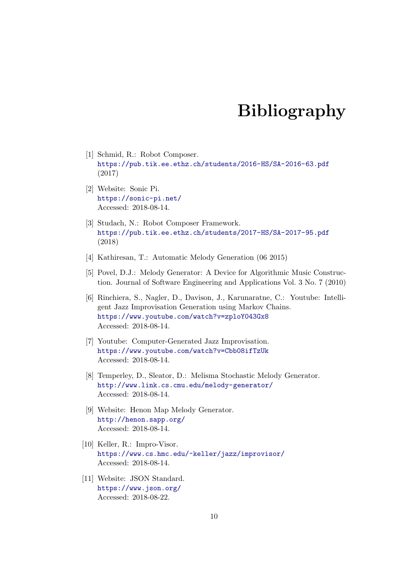# Bibliography

- <span id="page-12-1"></span><span id="page-12-0"></span>[1] Schmid, R.: Robot Composer. <https://pub.tik.ee.ethz.ch/students/2016-HS/SA-2016-63.pdf> (2017)
- <span id="page-12-2"></span>[2] Website: Sonic Pi. <https://sonic-pi.net/> Accessed: 2018-08-14.
- <span id="page-12-3"></span>[3] Studach, N.: Robot Composer Framework. <https://pub.tik.ee.ethz.ch/students/2017-HS/SA-2017-95.pdf> (2018)
- <span id="page-12-4"></span>[4] Kathiresan, T.: Automatic Melody Generation (06 2015)
- <span id="page-12-5"></span>[5] Povel, D.J.: Melody Generator: A Device for Algorithmic Music Construction. Journal of Software Engineering and Applications Vol. 3 No. 7 (2010)
- <span id="page-12-6"></span>[6] Rinchiera, S., Nagler, D., Davison, J., Karunaratne, C.: Youtube: Intelligent Jazz Improvisation Generation using Markov Chains. <https://www.youtube.com/watch?v=zploY043Gx8> Accessed: 2018-08-14.
- <span id="page-12-7"></span>[7] Youtube: Computer-Generated Jazz Improvisation. <https://www.youtube.com/watch?v=Cbb08ifTzUk> Accessed: 2018-08-14.
- <span id="page-12-8"></span>[8] Temperley, D., Sleator, D.: Melisma Stochastic Melody Generator. <http://www.link.cs.cmu.edu/melody-generator/> Accessed: 2018-08-14.
- <span id="page-12-9"></span>[9] Website: Henon Map Melody Generator. <http://henon.sapp.org/> Accessed: 2018-08-14.
- <span id="page-12-10"></span>[10] Keller, R.: Impro-Visor. <https://www.cs.hmc.edu/~keller/jazz/improvisor/> Accessed: 2018-08-14.
- <span id="page-12-11"></span>[11] Website: JSON Standard. <https://www.json.org/> Accessed: 2018-08-22.